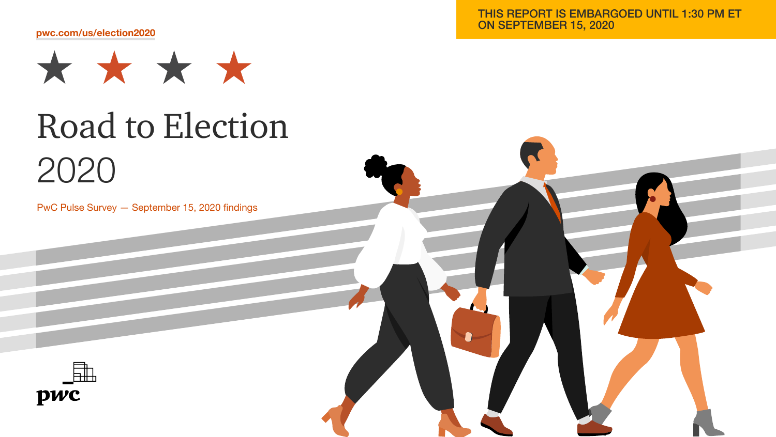[pwc.com/us/election2020](http://www.pwc.com/us/election2020)



# Road to Election 2020

PwC Pulse Survey — September 15, 2020 findings

THIS REPORT IS EMBARGOED UNTIL 1:30 PM ET ON SEPTEMBER 15, 2020

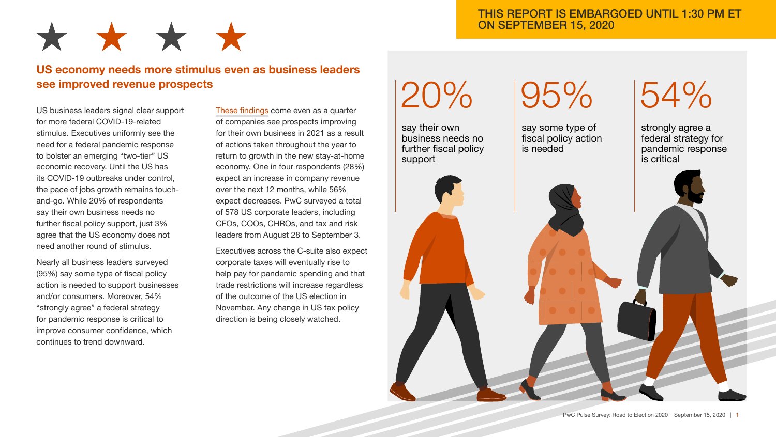

## US economy needs more stimulus even as business leaders see improved revenue prospects

US business leaders signal clear support for more federal COVID-19-related stimulus. Executives uniformly see the need for a federal pandemic response to bolster an emerging "two-tier" US economic recovery. Until the US has its COVID-19 outbreaks under control, the pace of jobs growth remains touchand-go. While 20% of respondents say their own business needs no further fiscal policy support, just 3% agree that the US economy does not need another round of stimulus.

Nearly all business leaders surveyed (95%) say some type of fiscal policy action is needed to support businesses and/or consumers. Moreover, 54% "strongly agree" a federal strategy for pandemic response is critical to improve consumer confidence, which continues to trend downward.

[These findings](https://www.pwc.com/us/en/library/pulse-survey.html) come even as a quarter of companies see prospects improving for their own business in 2021 as a result of actions taken throughout the year to return to growth in the new stay-at-home economy. One in four respondents (28%) expect an increase in company revenue over the next 12 months, while 56% expect decreases. PwC surveyed a total of 578 US corporate leaders, including CFOs, COOs, CHROs, and tax and risk leaders from August 28 to September 3.

Executives across the C-suite also expect corporate taxes will eventually rise to help pay for pandemic spending and that trade restrictions will increase regardless of the outcome of the US election in November. Any change in US tax policy direction is being closely watched.

## 20%

say their own business needs no further fiscal policy support

## 95%

say some type of fiscal policy action is needed

# 54%

strongly agree a federal strategy for pandemic response is critical

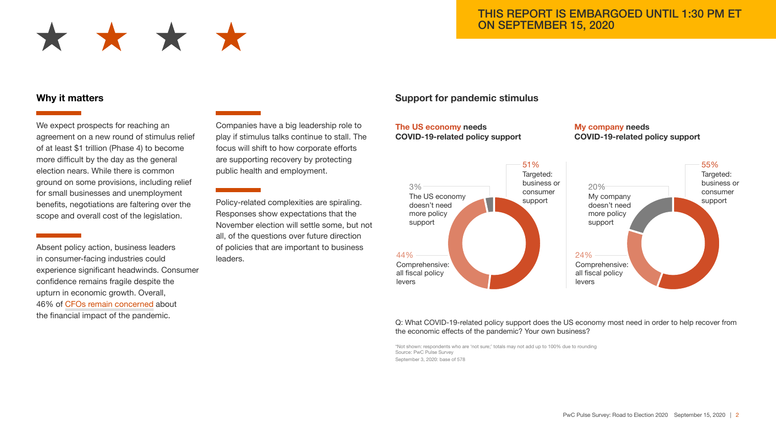

#### Why it matters

We expect prospects for reaching an agreement on a new round of stimulus relief of at least \$1 trillion (Phase 4) to become more difficult by the day as the general election nears. While there is common ground on some provisions, including relief for small businesses and unemployment benefits, negotiations are faltering over the scope and overall cost of the legislation.

Absent policy action, business leaders in consumer-facing industries could experience significant headwinds. Consumer confidence remains fragile despite the upturn in economic growth. Overall, 46% of [CFOs remain concerned](https://www.pwc.com/us/en/library/cfo.html) about the financial impact of the pandemic.

Companies have a big leadership role to play if stimulus talks continue to stall. The focus will shift to how corporate efforts are supporting recovery by protecting public health and employment.

Policy-related complexities are spiraling. Responses show expectations that the November election will settle some, but not all, of the questions over future direction of policies that are important to business leaders.

#### Support for pandemic stimulus

#### The US economy needs COVID-19-related policy support

My company needs COVID-19-related policy support



#### Q: What COVID-19-related policy support does the US economy most need in order to help recover from the economic effects of the pandemic? Your own business?

\*Not shown: respondents who are 'not sure;' totals may not add up to 100% due to rounding Source: PwC Pulse Survey September 3, 2020: base of 578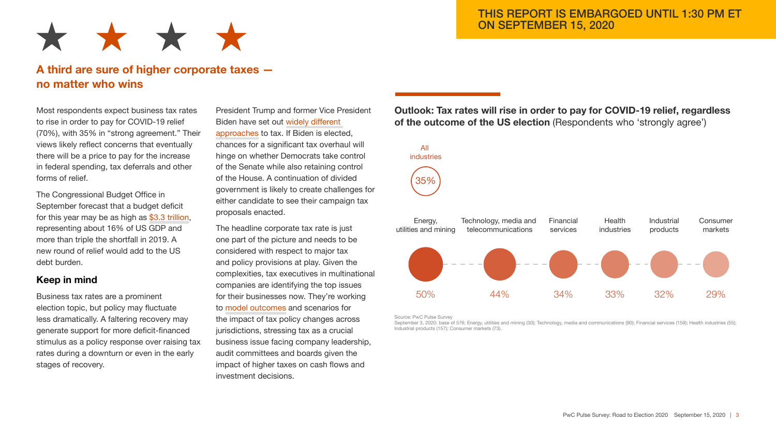

## A third are sure of higher corporate taxes no matter who wins

Most respondents expect business tax rates to rise in order to pay for COVID-19 relief (70%), with 35% in "strong agreement." Their views likely reflect concerns that eventually there will be a price to pay for the increase in federal spending, tax deferrals and other forms of relief.

The Congressional Budget Office in September forecast that a budget deficit for this year may be as high as [\\$3.3 trillion](https://www.cbo.gov/publication/56517), representing about 16% of US GDP and more than triple the shortfall in 2019. A new round of relief would add to the US debt burden.

#### Keep in mind

Business tax rates are a prominent election topic, but policy may fluctuate less dramatically. A faltering recovery may generate support for more deficit-financed stimulus as a policy response over raising tax rates during a downturn or even in the early stages of recovery.

President Trump and former Vice President Biden have set out [widely different](https://www.pwc.com/us/en/services/tax/library/potential-effects-of-biden-business-tax-proposals.html)  [approaches](https://www.pwc.com/us/en/services/tax/library/potential-effects-of-biden-business-tax-proposals.html) to tax. If Biden is elected, chances for a significant tax overhaul will hinge on whether Democrats take control of the Senate while also retaining control of the House. A continuation of divided government is likely to create challenges for either candidate to see their campaign tax proposals enacted.

The headline corporate tax rate is just one part of the picture and needs to be considered with respect to major tax and policy provisions at play. Given the complexities, tax executives in multinational companies are identifying the top issues for their businesses now. They're working to [model outcomes](https://www.pwc.com/us/en/services/tax/library/model-for-business-policy.html) and scenarios for the impact of tax policy changes across jurisdictions, stressing tax as a crucial business issue facing company leadership, audit committees and boards given the impact of higher taxes on cash flows and investment decisions.

#### Outlook: Tax rates will rise in order to pay for COVID-19 relief, regardless of the outcome of the US election (Respondents who 'strongly agree')



Source: PwC Pulse Survey

September 3, 2020: base of 576; Energy, utilities and mining (30); Technology, media and communications (90); Financial services (159); Health industries (55); Industrial products (157); Consumer markets (73).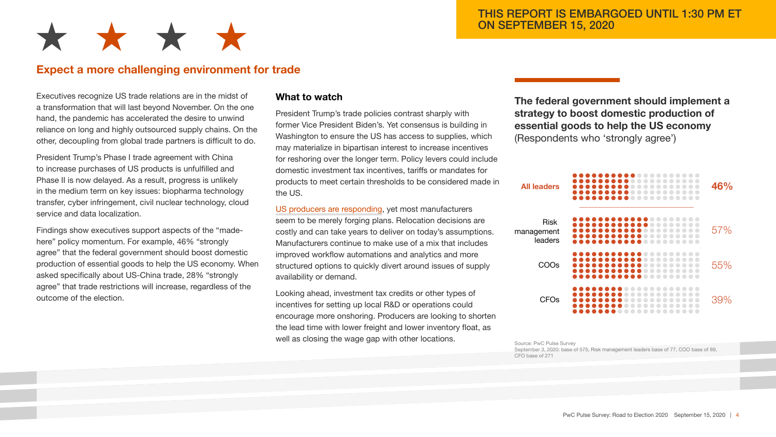

## Expect a more challenging environment for trade

Executives recognize US trade relations are in the midst of a transformation that will last beyond November. On the one hand, the pandemic has accelerated the desire to unwind reliance on long and highly outsourced supply chains. On the other, decoupling from global trade partners is difficult to do.

President Trump's Phase I trade agreement with China to increase purchases of US products is unfulfilled and Phase II is now delayed. As a result, progress is unlikely in the medium term on key issues: biopharma technology transfer, cyber infringement, civil nuclear technology, cloud service and data localization.

Findings show executives support aspects of the "madehere" policy momentum. For example, 46% "strongly agree" that the federal government should boost domestic production of essential goods to help the US economy. When asked specifically about US-China trade, 28% "strongly agree" that trade restrictions will increase, regardless of the outcome of the election.

#### What to watch

President Trump's trade policies contrast sharply with former Vice President Biden's. Yet consensus is building in Washington to ensure the US has access to supplies, which may materialize in bipartisan interest to increase incentives for reshoring over the longer term. Policy levers could include domestic investment tax incentives, tariffs or mandates for products to meet certain thresholds to be considered made in the US.

[US producers are responding,](https://www.pwc.com/us/en/library/fit-for-growth/supply-chain-resiliency.html) yet most manufacturers seem to be merely forging plans. Relocation decisions are costly and can take years to deliver on today's assumptions. Manufacturers continue to make use of a mix that includes improved workflow automations and analytics and more structured options to quickly divert around issues of supply availability or demand.

Looking ahead, investment tax credits or other types of incentives for setting up local R&D or operations could encourage more onshoring. Producers are looking to shorten the lead time with lower freight and lower inventory float, as well as closing the wage gap with other locations.

The federal government should implement a strategy to boost domestic production of essential goods to help the US economy (Respondents who 'strongly agree')



Source: PwC Pulse Survey September 3, 2020: base of 575, Risk management leaders base of 77, COO base of 89, CFO base of 271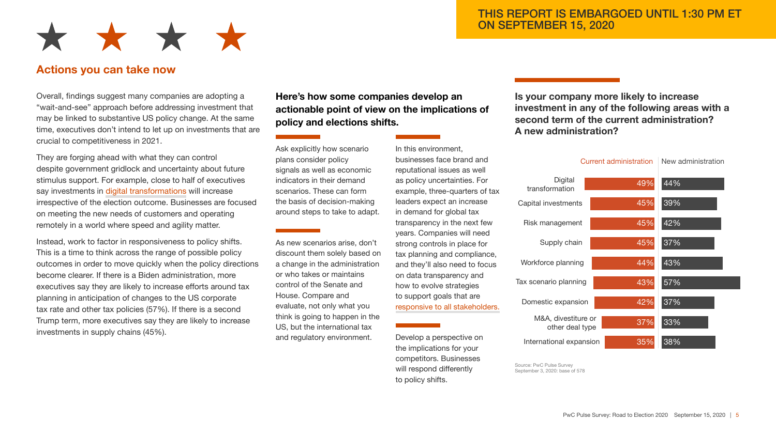

### Actions you can take now

Overall, findings suggest many companies are adopting a "wait-and-see" approach before addressing investment that may be linked to substantive US policy change. At the same time, executives don't intend to let up on investments that are crucial to competitiveness in 2021.

They are forging ahead with what they can control despite government gridlock and uncertainty about future stimulus support. For example, close to half of executives say investments in [digital transformations](https://www.pwc.com/us/en/library/digital-iq/digital-right-now.html) will increase irrespective of the election outcome. Businesses are focused on meeting the new needs of customers and operating remotely in a world where speed and agility matter.

Instead, work to factor in responsiveness to policy shifts. This is a time to think across the range of possible policy outcomes in order to move quickly when the policy directions become clearer. If there is a Biden administration, more executives say they are likely to increase efforts around tax planning in anticipation of changes to the US corporate tax rate and other tax policies (57%). If there is a second Trump term, more executives say they are likely to increase investments in supply chains (45%).

Here's how some companies develop an actionable point of view on the implications of policy and elections shifts.

Ask explicitly how scenario plans consider policy signals as well as economic indicators in their demand scenarios. These can form the basis of decision-making around steps to take to adapt.

As new scenarios arise, don't discount them solely based on a change in the administration or who takes or maintains control of the Senate and House. Compare and evaluate, not only what you think is going to happen in the US, but the international tax and regulatory environment.

In this environment, businesses face brand and reputational issues as well as policy uncertainties. For example, three-quarters of tax leaders expect an increase in demand for global tax transparency in the next few years. Companies will need strong controls in place for tax planning and compliance, and they'll also need to focus on data transparency and how to evolve strategies to support goals that are [responsive to all stakeholders.](https://www.pwc.com/us/en/cfodirect/publications/point-of-view/covid-19-companies-response-measures-to-stakeholders.html)

Develop a perspective on the implications for your competitors. Businesses will respond differently to policy shifts.

Is your company more likely to increase investment in any of the following areas with a second term of the current administration? A new administration?

| Current administration                 |     | New administration |
|----------------------------------------|-----|--------------------|
| Digital<br>transformation              | 49% | 44%                |
| Capital investments                    | 45% | 39%                |
| Risk management                        | 45% | 42%                |
| Supply chain                           | 45% | 37%                |
| Workforce planning                     | 44% | $\overline{43\%}$  |
| Tax scenario planning                  | 43% | 57%                |
| Domestic expansion                     | 42% | 37%                |
| M&A, divestiture or<br>other deal type | 37% | 33%                |
| International expansion                | 35% | 38%                |

Source: PwC Pulse Survey September 3, 2020; base of 578